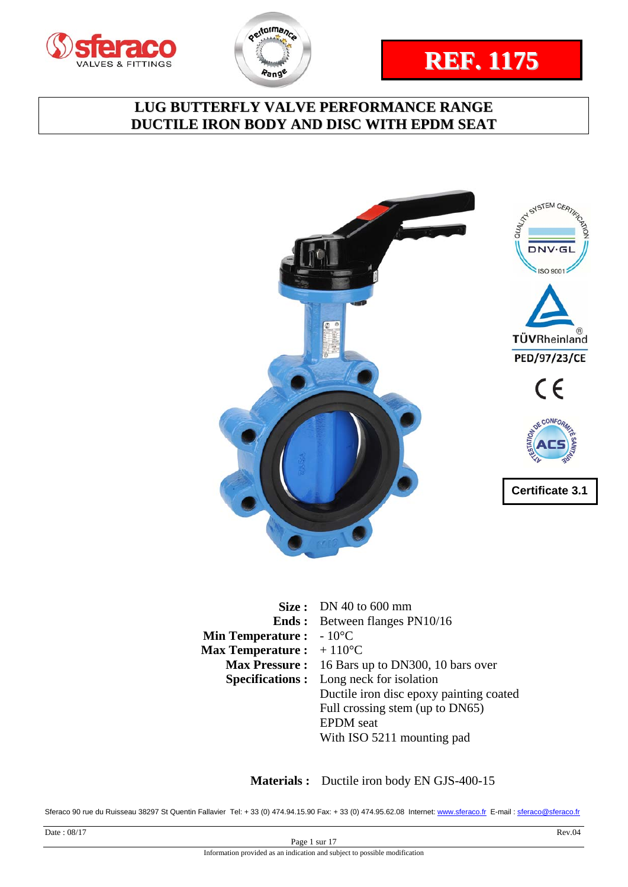







|                                           | Size: DN 40 to 600 mm                          |
|-------------------------------------------|------------------------------------------------|
|                                           | <b>Ends:</b> Between flanges PN10/16           |
| <b>Min Temperature:</b>                   | $-10^{\circ}$ C                                |
| <b>Max Temperature :</b> $+110^{\circ}$ C |                                                |
| <b>Max Pressure :</b>                     | 16 Bars up to DN300, 10 bars over              |
|                                           | <b>Specifications:</b> Long neck for isolation |
|                                           | Ductile iron disc epoxy painting coated        |
|                                           | Full crossing stem (up to DN65)                |
|                                           | <b>EPDM</b> seat                               |
|                                           | With ISO 5211 mounting pad                     |

 **Materials :** Ductile iron body EN GJS-400-15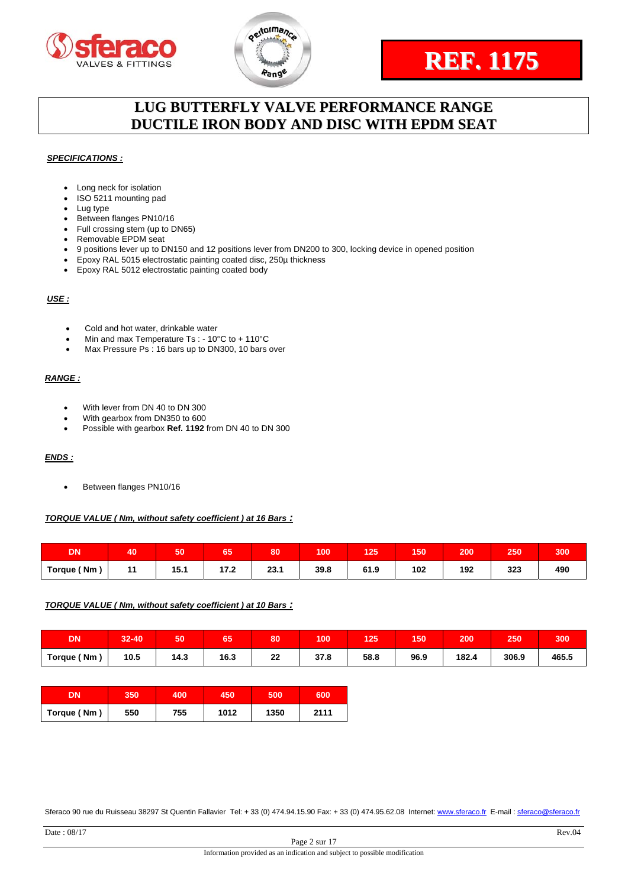



# **REF. 1175**

# **LUG BUTTERFLY VALVE PERFORMANCE RANGE DUCTILE IRON BODY AND DISC WITH EPDM SEAT**

#### *SPECIFICATIONS :*

- Long neck for isolation
- ISO 5211 mounting pad
- Lug type
- Between flanges PN10/16
- Full crossing stem (up to DN65) Removable EPDM seat
- 9 positions lever up to DN150 and 12 positions lever from DN200 to 300, locking device in opened position
- Epoxy RAL 5015 electrostatic painting coated disc, 250µ thickness
- Epoxy RAL 5012 electrostatic painting coated body

#### *USE :*

- Cold and hot water, drinkable water
- Min and max Temperature Ts : 10°C to + 110°C
- Max Pressure Ps : 16 bars up to DN300, 10 bars over

#### *RANGE :*

- With lever from DN 40 to DN 300
- With gearbox from DN350 to 600
- Possible with gearbox **Ref. 1192** from DN 40 to DN 300

#### *ENDS :*

**•** Between flanges PN10/16

#### *TORQUE VALUE ( Nm, without safety coefficient ) at 16 Bars :*

| <b>DI</b><br>ιUΝ | 40        | 50            | --<br>65 | 80   | 100  | 125  | 150 | 200 | 250 | 300 |
|------------------|-----------|---------------|----------|------|------|------|-----|-----|-----|-----|
| Torque (Nm)      | 44<br>. . | 4 E .<br>15.1 | 17.2     | 23.1 | 39.8 | 61.9 | 102 | 192 | 323 | 490 |

#### *TORQUE VALUE ( Nm, without safety coefficient ) at 10 Bars :*

| <b>DN</b>  | 32-40<br>$\overline{2}$ | 50         | 65   | 80 | 100          | 25   | 150  | 200   | 250   | 300   |
|------------|-------------------------|------------|------|----|--------------|------|------|-------|-------|-------|
| Torque (Nm | 10.5                    | 14.3<br>__ | 16.3 | 22 | 27<br>ه. ، د | 58.8 | 96.9 | 182.4 | 306.9 | 465.5 |

| DN'         | 350 | 400 | 450  | 500  | 600  |
|-------------|-----|-----|------|------|------|
| Torque (Nm) | 550 | 755 | 1012 | 1350 | 2111 |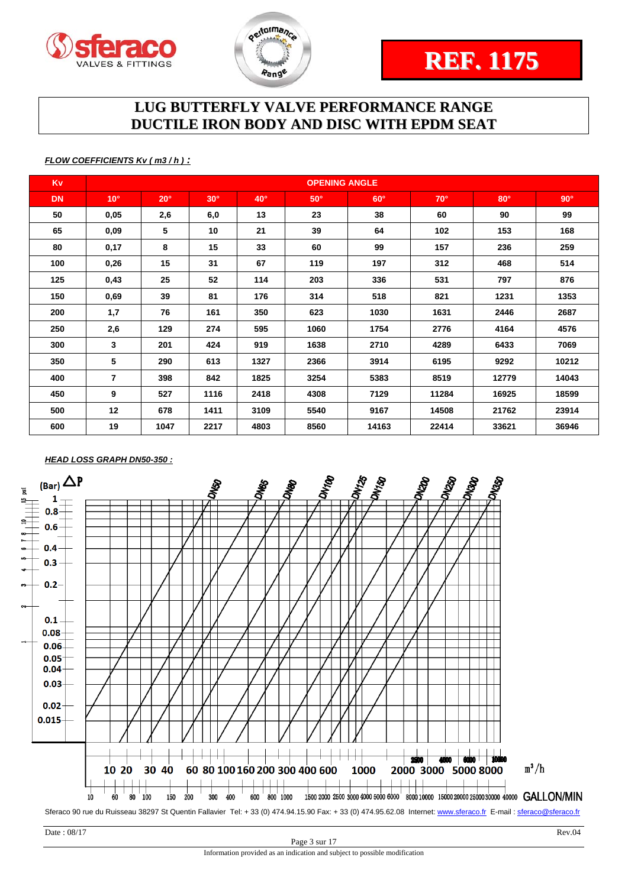



### *FLOW COEFFICIENTS Kv ( m3 / h ) :*

| <b>Kv</b> |                |            |            |            | <b>OPENING ANGLE</b> |            |            |            |            |
|-----------|----------------|------------|------------|------------|----------------------|------------|------------|------------|------------|
| <b>DN</b> | $10^{\circ}$   | $20^\circ$ | $30^\circ$ | $40^\circ$ | $50^\circ$           | $60^\circ$ | $70^\circ$ | $80^\circ$ | $90^\circ$ |
| 50        | 0,05           | 2,6        | 6,0        | 13         | 23                   | 38         | 60         | 90         | 99         |
| 65        | 0,09           | 5          | 10         | 21         | 39                   | 64         | 102        | 153        | 168        |
| 80        | 0,17           | 8          | 15         | 33         | 60                   | 99         | 157        | 236        | 259        |
| 100       | 0,26           | 15         | 31         | 67         | 119                  | 197        | 312        | 468        | 514        |
| 125       | 0,43           | 25         | 52         | 114        | 203                  | 336        | 531        | 797        | 876        |
| 150       | 0,69           | 39         | 81         | 176        | 314                  | 518        | 821        | 1231       | 1353       |
| 200       | 1,7            | 76         | 161        | 350        | 623                  | 1030       | 1631       | 2446       | 2687       |
| 250       | 2,6            | 129        | 274        | 595        | 1060                 | 1754       | 2776       | 4164       | 4576       |
| 300       | 3              | 201        | 424        | 919        | 1638                 | 2710       | 4289       | 6433       | 7069       |
| 350       | 5              | 290        | 613        | 1327       | 2366                 | 3914       | 6195       | 9292       | 10212      |
| 400       | $\overline{7}$ | 398        | 842        | 1825       | 3254                 | 5383       | 8519       | 12779      | 14043      |
| 450       | 9              | 527        | 1116       | 2418       | 4308                 | 7129       | 11284      | 16925      | 18599      |
| 500       | 12             | 678        | 1411       | 3109       | 5540                 | 9167       | 14508      | 21762      | 23914      |
| 600       | 19             | 1047       | 2217       | 4803       | 8560                 | 14163      | 22414      | 33621      | 36946      |

## *HEAD LOSS GRAPH DN50-350 :*

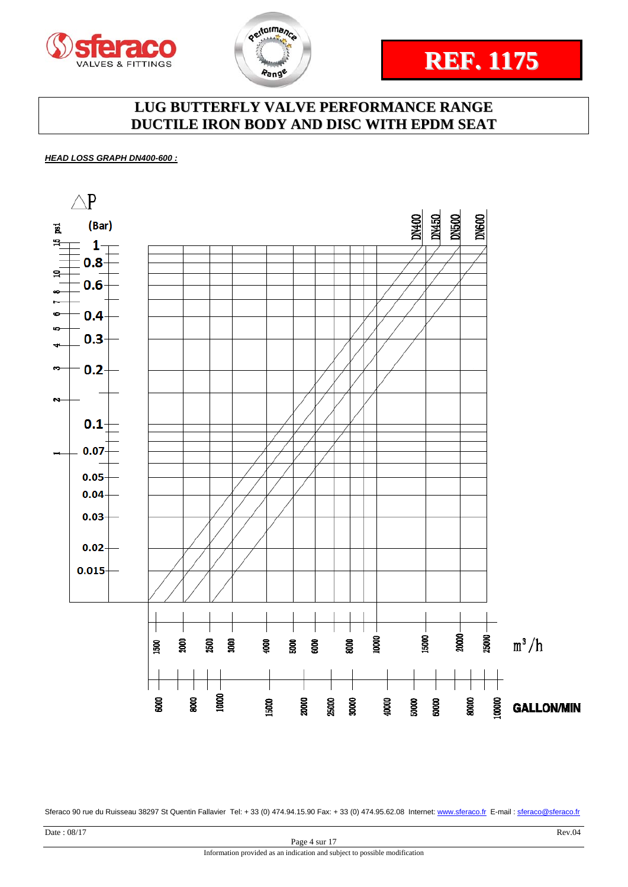





#### *HEAD LOSS GRAPH DN400-600 :*

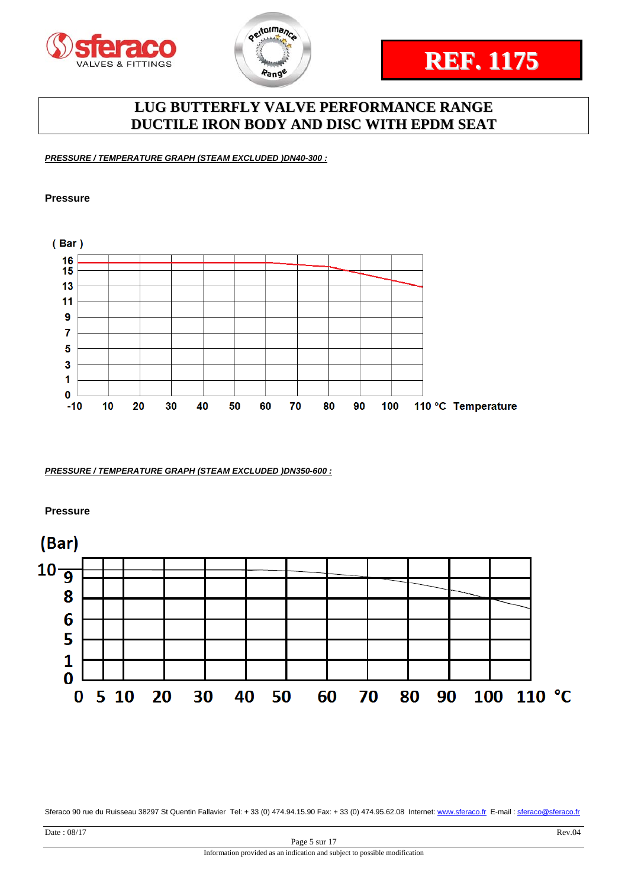



*PRESSURE / TEMPERATURE GRAPH (STEAM EXCLUDED )DN40-300 :* 

#### **Pressure**



*PRESSURE / TEMPERATURE GRAPH (STEAM EXCLUDED )DN350-600 :* 

**Pressure** 

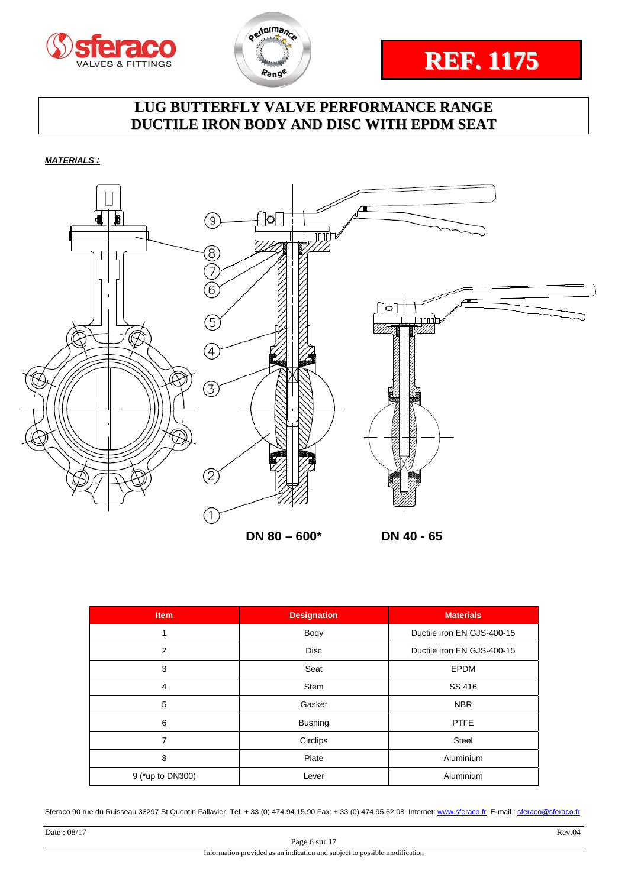





*MATERIALS :* 



| <b>Item</b>      | <b>Designation</b> | <b>Materials</b>           |
|------------------|--------------------|----------------------------|
|                  | Body               | Ductile iron EN GJS-400-15 |
| $\overline{2}$   | <b>Disc</b>        | Ductile iron EN GJS-400-15 |
| 3                | Seat               | <b>EPDM</b>                |
| $\overline{4}$   | <b>Stem</b>        | SS 416                     |
| 5                | Gasket             | <b>NBR</b>                 |
| 6                | <b>Bushing</b>     | <b>PTFE</b>                |
| 7                | Circlips           | Steel                      |
| 8                | Plate              | Aluminium                  |
| 9 (*up to DN300) | Lever              | Aluminium                  |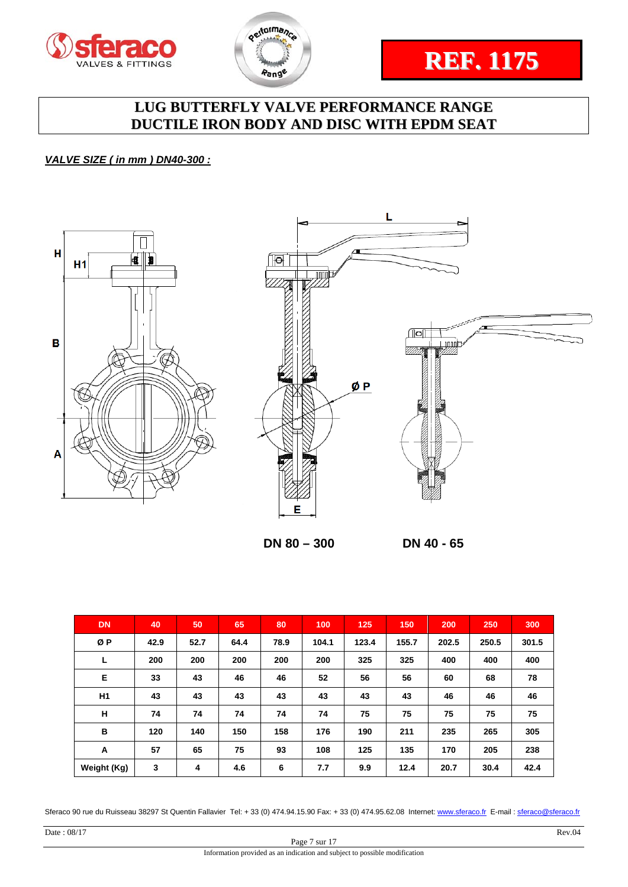





## *VALVE SIZE ( in mm ) DN40-300 :*





 **DN 80 – 300 DN 40 - 65** 

| <b>DN</b>      | 40   | 50   | 65   | 80   | 100   | 125   | 150   | 200   | 250   | 300   |
|----------------|------|------|------|------|-------|-------|-------|-------|-------|-------|
| ØΡ             | 42.9 | 52.7 | 64.4 | 78.9 | 104.1 | 123.4 | 155.7 | 202.5 | 250.5 | 301.5 |
| L              | 200  | 200  | 200  | 200  | 200   | 325   | 325   | 400   | 400   | 400   |
| Е              | 33   | 43   | 46   | 46   | 52    | 56    | 56    | 60    | 68    | 78    |
| H <sub>1</sub> | 43   | 43   | 43   | 43   | 43    | 43    | 43    | 46    | 46    | 46    |
| н              | 74   | 74   | 74   | 74   | 74    | 75    | 75    | 75    | 75    | 75    |
| в              | 120  | 140  | 150  | 158  | 176   | 190   | 211   | 235   | 265   | 305   |
| A              | 57   | 65   | 75   | 93   | 108   | 125   | 135   | 170   | 205   | 238   |
| Weight (Kg)    | 3    | 4    | 4.6  | 6    | 7.7   | 9.9   | 12.4  | 20.7  | 30.4  | 42.4  |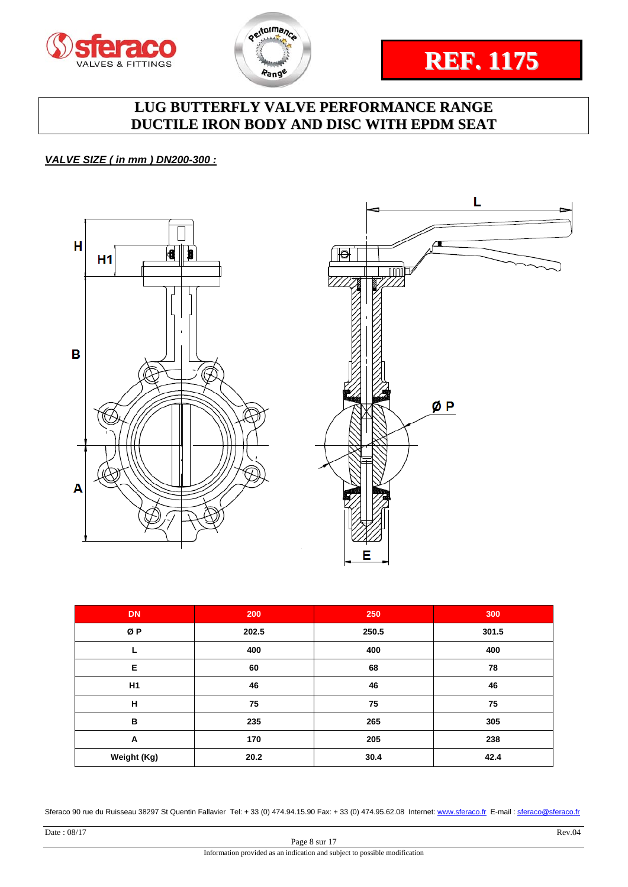





## *VALVE SIZE ( in mm ) DN200-300 :*



| <b>DN</b>   | 200   | 250   | 300   |
|-------------|-------|-------|-------|
| ØP          | 202.5 | 250.5 | 301.5 |
|             | 400   | 400   | 400   |
| Е           | 60    | 68    | 78    |
| H1          | 46    | 46    | 46    |
| н           | 75    | 75    | 75    |
| В           | 235   | 265   | 305   |
| A           | 170   | 205   | 238   |
| Weight (Kg) | 20.2  | 30.4  | 42.4  |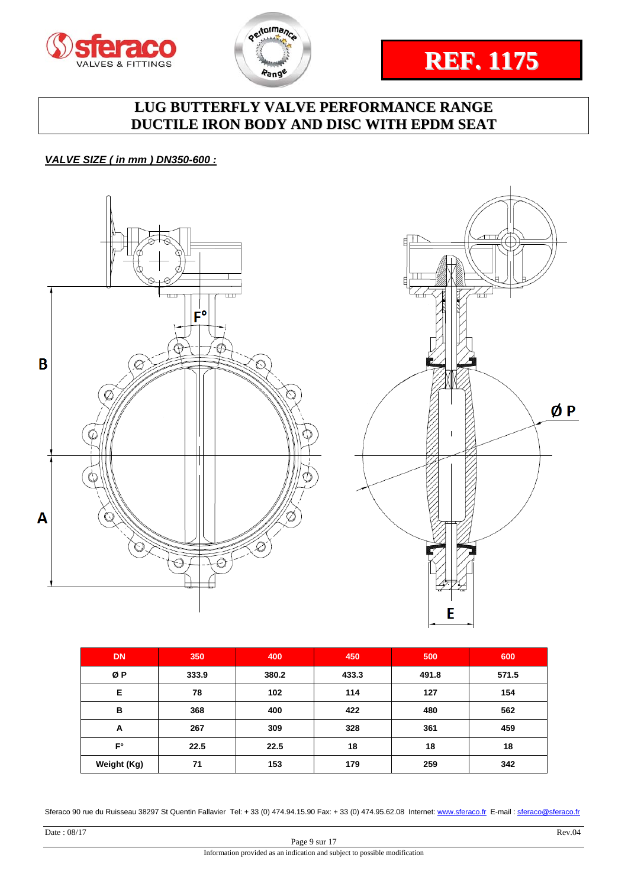





## *VALVE SIZE ( in mm ) DN350-600 :*



| <b>DN</b>   | 350   | 400   | 450   | 500   | 600   |
|-------------|-------|-------|-------|-------|-------|
| ØΡ          | 333.9 | 380.2 | 433.3 | 491.8 | 571.5 |
| Е           | 78    | 102   | 114   | 127   | 154   |
| в           | 368   | 400   | 422   | 480   | 562   |
| A           | 267   | 309   | 328   | 361   | 459   |
| $F^{\circ}$ | 22.5  | 22.5  | 18    | 18    | 18    |
| Weight (Kg) | 71    | 153   | 179   | 259   | 342   |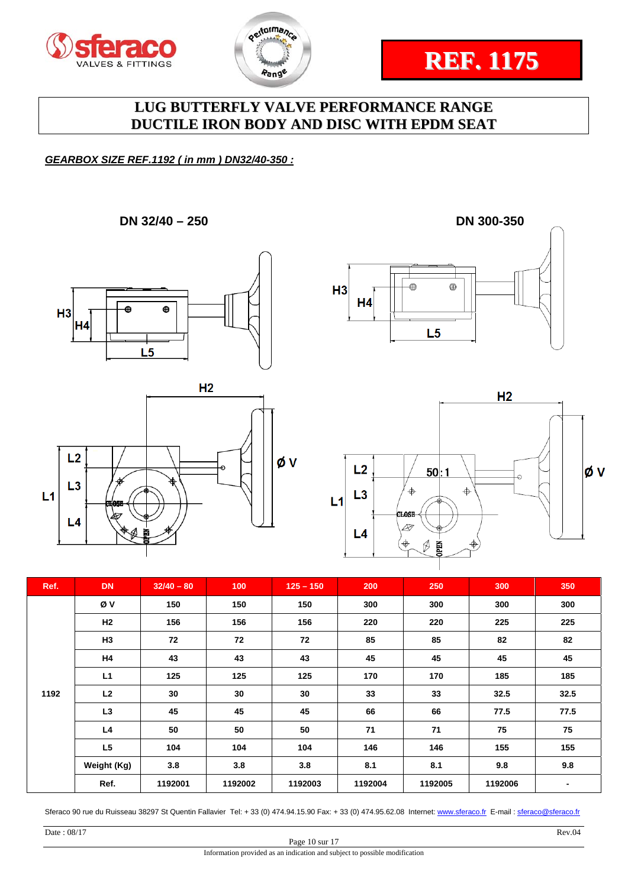





## *GEARBOX SIZE REF.1192 ( in mm ) DN32/40-350 :*

**DN 32/40 – 250 DN 300-350** 









| Ref. | <b>DN</b>      | $32/40 - 80$ | 100     | $125 - 150$ | 200     | 250     | 300     | 350  |
|------|----------------|--------------|---------|-------------|---------|---------|---------|------|
|      | Øν             | 150          | 150     | 150         | 300     | 300     | 300     | 300  |
|      | H2             | 156          | 156     | 156         | 220     | 220     | 225     | 225  |
|      | H <sub>3</sub> | 72           | 72      | 72          | 85      | 85      | 82      | 82   |
|      | H4             | 43           | 43      | 43          | 45      | 45      | 45      | 45   |
|      | L1             | 125          | 125     | 125         | 170     | 170     | 185     | 185  |
| 1192 | L <sub>2</sub> | 30           | 30      | 30          | 33      | 33      | 32.5    | 32.5 |
|      | L <sub>3</sub> | 45           | 45      | 45          | 66      | 66      | 77.5    | 77.5 |
|      | L4             | 50           | 50      | 50          | 71      | 71      | 75      | 75   |
|      | L <sub>5</sub> | 104          | 104     | 104         | 146     | 146     | 155     | 155  |
|      | Weight (Kg)    | 3.8          | 3.8     | 3.8         | 8.1     | 8.1     | 9.8     | 9.8  |
|      | Ref.           | 1192001      | 1192002 | 1192003     | 1192004 | 1192005 | 1192006 |      |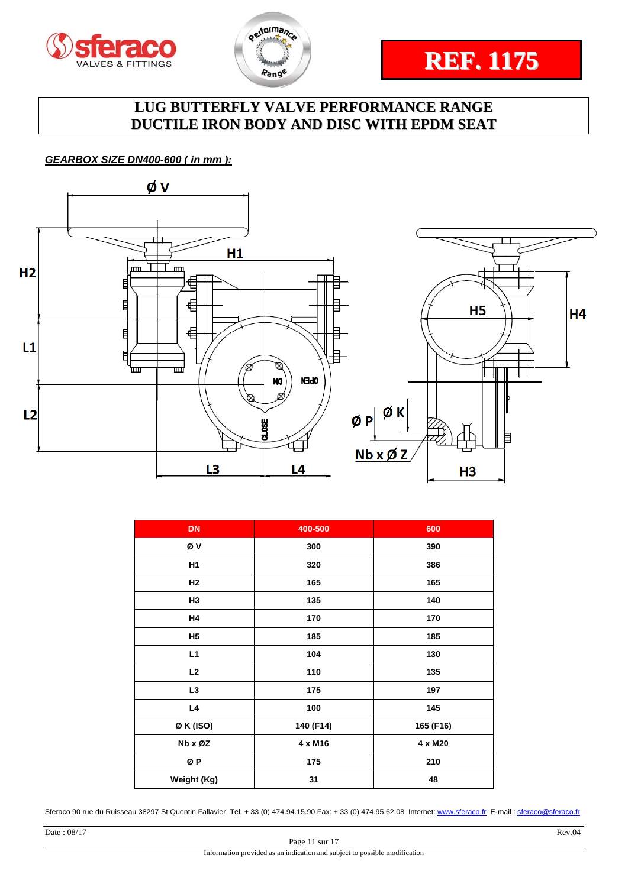





## *GEARBOX SIZE DN400-600 ( in mm ):*



| <b>DN</b>      | 400-500   | 600       |
|----------------|-----------|-----------|
| Øν             | 300       | 390       |
| H <sub>1</sub> | 320       | 386       |
| H <sub>2</sub> | 165       | 165       |
| H3             | 135       | 140       |
| H4             | 170       | 170       |
| <b>H5</b>      | 185       | 185       |
| L1             | 104       | 130       |
| L2             | 110       | 135       |
| L <sub>3</sub> | 175       | 197       |
| L4             | 100       | 145       |
| Ø K (ISO)      | 140 (F14) | 165 (F16) |
| Nb x ØZ        | 4 x M16   | 4 x M20   |
| ØΡ             | 175       | 210       |
| Weight (Kg)    | 31        | 48        |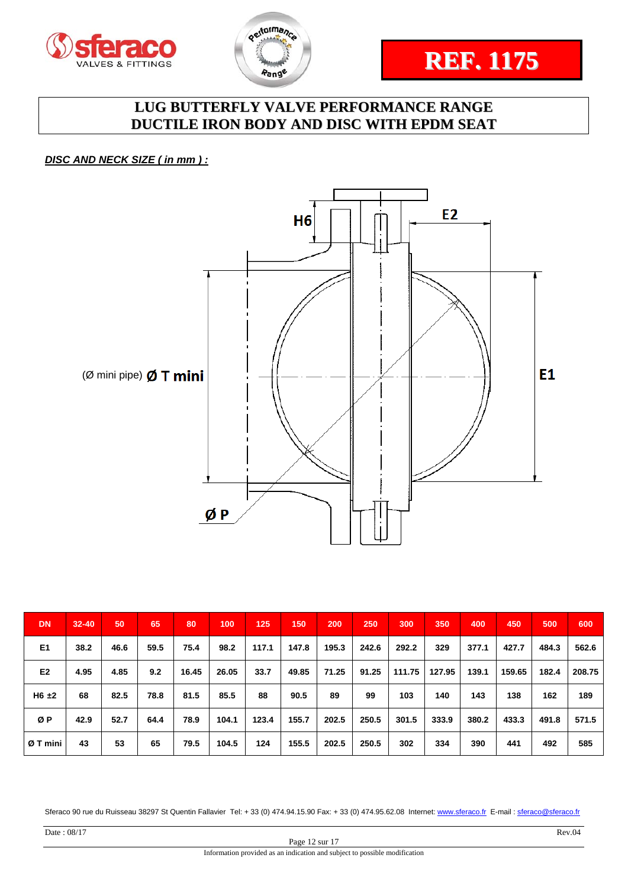



# **REF. 1175**

# **LUG BUTTERFLY VALVE PERFORMANCE RANGE DUCTILE IRON BODY AND DISC WITH EPDM SEAT**

*DISC AND NECK SIZE ( in mm ) :* 



| <b>DN</b>      | $32 - 40$ | 50   | 65   | 80    | 100   | 125   | 150   | 200   | 250   | 300    | 350    | 400   | 450    | 500   | 600    |
|----------------|-----------|------|------|-------|-------|-------|-------|-------|-------|--------|--------|-------|--------|-------|--------|
| E <sub>1</sub> | 38.2      | 46.6 | 59.5 | 75.4  | 98.2  | 117.1 | 147.8 | 195.3 | 242.6 | 292.2  | 329    | 377.1 | 427.7  | 484.3 | 562.6  |
| E <sub>2</sub> | 4.95      | 4.85 | 9.2  | 16.45 | 26.05 | 33.7  | 49.85 | 71.25 | 91.25 | 111.75 | 127.95 | 139.1 | 159.65 | 182.4 | 208.75 |
| $H6 \pm 2$     | 68        | 82.5 | 78.8 | 81.5  | 85.5  | 88    | 90.5  | 89    | 99    | 103    | 140    | 143   | 138    | 162   | 189    |
| ØΡ             | 42.9      | 52.7 | 64.4 | 78.9  | 104.1 | 123.4 | 155.7 | 202.5 | 250.5 | 301.5  | 333.9  | 380.2 | 433.3  | 491.8 | 571.5  |
| Ø T mini       | 43        | 53   | 65   | 79.5  | 104.5 | 124   | 155.5 | 202.5 | 250.5 | 302    | 334    | 390   | 441    | 492   | 585    |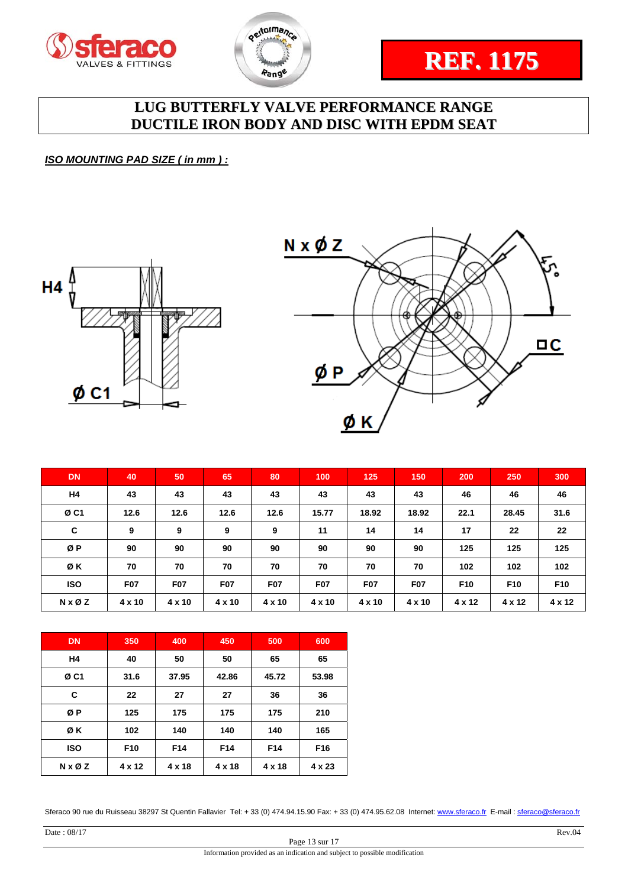





*ISO MOUNTING PAD SIZE ( in mm ) :* 





| <b>DN</b>              | 40         | 50         | 65         | 80         | 100        | 125        | 150        | 200             | 250             | 300             |
|------------------------|------------|------------|------------|------------|------------|------------|------------|-----------------|-----------------|-----------------|
| H <sub>4</sub>         | 43         | 43         | 43         | 43         | 43         | 43         | 43         | 46              | 46              | 46              |
| ØC <sub>1</sub>        | 12.6       | 12.6       | 12.6       | 12.6       | 15.77      | 18.92      | 18.92      | 22.1            | 28.45           | 31.6            |
| C                      | 9          | 9          | 9          | 9          | 11         | 14         | 14         | 17              | 22              | 22              |
| ØP                     | 90         | 90         | 90         | 90         | 90         | 90         | 90         | 125             | 125             | 125             |
| ØΚ                     | 70         | 70         | 70         | 70         | 70         | 70         | 70         | 102             | 102             | 102             |
| <b>ISO</b>             | <b>F07</b> | <b>F07</b> | <b>F07</b> | <b>F07</b> | <b>F07</b> | <b>F07</b> | <b>F07</b> | F <sub>10</sub> | F <sub>10</sub> | F <sub>10</sub> |
| $N \times \emptyset Z$ | 4 x 10     | 4 x 10     | 4 x 10     | 4 x 10     | 4 x 10     | 4 x 10     | 4 x 10     | 4 x 12          | 4 x 12          | 4 x 12          |

| <b>DN</b>              | 350             | 400    | 450             | 500             | 600             |
|------------------------|-----------------|--------|-----------------|-----------------|-----------------|
| H4                     | 40              | 50     | 50              | 65              | 65              |
| ØC1                    | 31.6            | 37.95  | 42.86           | 45.72           | 53.98           |
| C                      | 22              | 27     | 27              | 36              | 36              |
| ØP                     | 125             | 175    | 175             | 175             | 210             |
| ØΚ                     | 102             | 140    | 140             | 140             | 165             |
| <b>ISO</b>             | F <sub>10</sub> | F14    | F <sub>14</sub> | F <sub>14</sub> | F <sub>16</sub> |
| $N \times \emptyset Z$ | 4 x 12          | 4 x 18 | 4 x 18          | 4 x 18          | 4 x 23          |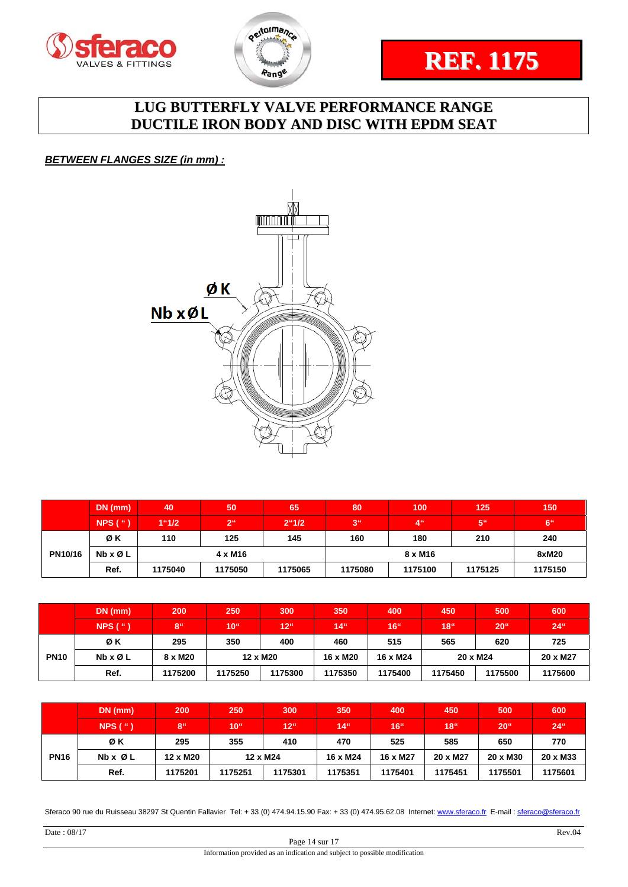





## *BETWEEN FLANGES SIZE (in mm) :*



|         | $DN$ (mm)     | 40      | 50              | 65             | 80             | 100             | 125             | 150             |
|---------|---------------|---------|-----------------|----------------|----------------|-----------------|-----------------|-----------------|
|         | $NPS$ ( $"$ ) | 1"1/2   | 2 <sup>ii</sup> | $2^{\circ}1/2$ | 3 <sup>u</sup> | 4 <sup>ii</sup> | 5 <sup>''</sup> | 6 <sup>ii</sup> |
|         | ØΚ            | 110     | 125             | 145            | 160            | 180             | 210             | 240             |
| PN10/16 | Nb x Ø L      |         | $4 \times M16$  |                |                | 8 x M16         |                 | 8xM20           |
|         | Ref.          | 1175040 | 1175050         | 1175065        | 1175080        | 1175100         | 1175125         | 1175150         |

|             | $DN$ (mm) | 200     | 250              | 300          | 350               | 400             | 450              | 500              | 600          |
|-------------|-----------|---------|------------------|--------------|-------------------|-----------------|------------------|------------------|--------------|
|             | NPS('')   | '8"     | 10 <sup>th</sup> | $12^{\circ}$ | $14$ <sup>"</sup> | 16 <sup>4</sup> | 18 <sup>44</sup> | 20 <sup>11</sup> | $24^{\circ}$ |
|             | ØΚ        | 295     | 350              | 400          | 460               | 515             | 565              | 620              | 725          |
| <b>PN10</b> | Nb x Ø L  | 8 x M20 | 12 x M20         |              | 16 x M20          | 16 x M24        | 20 x M24         |                  | 20 x M27     |
|             | Ref.      | 1175200 | 1175250          | 1175300      | 1175350           | 1175400         | 1175450          | 1175500          | 1175600      |

|             | $DN$ (mm)               | 200             | 250              | 300             | 350      | 400              | 450              | 500              | 600          |
|-------------|-------------------------|-----------------|------------------|-----------------|----------|------------------|------------------|------------------|--------------|
|             | NPS('')                 | 8 <sup>ii</sup> | 10 <sup>th</sup> | 12 <sup>0</sup> | $14$ "   | 16 <sup>44</sup> | 18 <sup>th</sup> | 20 <sup>11</sup> | $24^{\circ}$ |
|             | ØΚ                      | 295             | 355              | 410             | 470      | 525              | 585              | 650              | 770          |
| <b>PN16</b> | $Nb \times \emptyset$ L | 12 x M20        |                  | 12 x M24        | 16 x M24 | 16 x M27         | 20 x M27         | 20 x M30         | 20 x M33     |
|             | Ref.                    | 1175201         | 1175251          | 1175301         | 1175351  | 1175401          | 1175451          | 1175501          | 1175601      |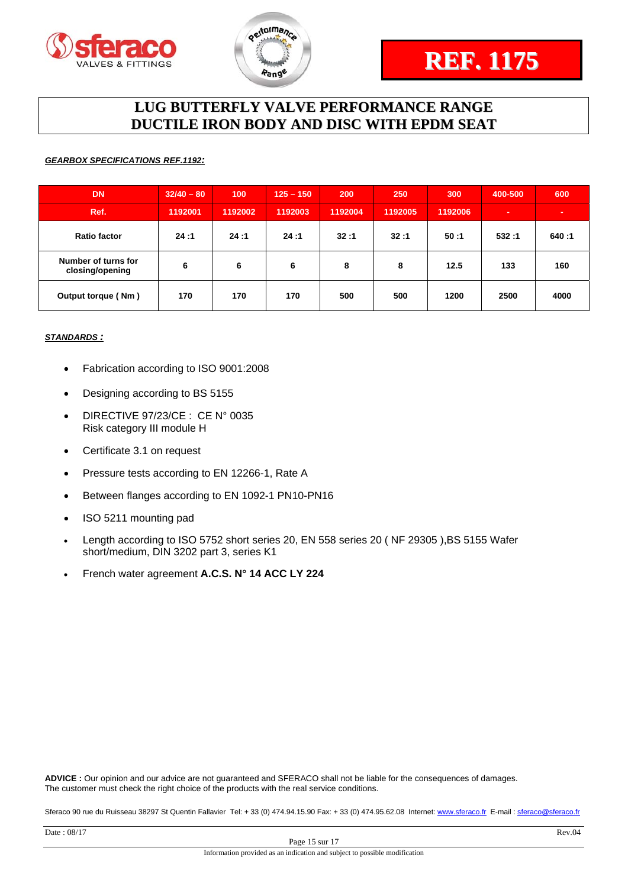



#### *GEARBOX SPECIFICATIONS REF.1192:*

| <b>DN</b>                              | $32/40 - 80$ | 100     | $125 - 150$ | 200     | 250     | 300     | 400-500 | 600   |
|----------------------------------------|--------------|---------|-------------|---------|---------|---------|---------|-------|
| Ref.                                   | 1192001      | 1192002 | 1192003     | 1192004 | 1192005 | 1192006 |         |       |
| <b>Ratio factor</b>                    | 24:1         | 24:1    | 24:1        | 32:1    | 32:1    | 50:1    | 532:1   | 640:1 |
| Number of turns for<br>closing/opening | 6            | 6       | 6           | 8       | 8       | 12.5    | 133     | 160   |
| Output torque (Nm)                     | 170          | 170     | 170         | 500     | 500     | 1200    | 2500    | 4000  |

#### *STANDARDS :*

- Fabrication according to ISO 9001:2008
- Designing according to BS 5155
- DIRECTIVE 97/23/CE : CE N° 0035 Risk category III module H
- Certificate 3.1 on request
- Pressure tests according to EN 12266-1, Rate A
- Between flanges according to EN 1092-1 PN10-PN16
- ISO 5211 mounting pad
- Length according to ISO 5752 short series 20, EN 558 series 20 ( NF 29305 ),BS 5155 Wafer short/medium, DIN 3202 part 3, series K1
- French water agreement **A.C.S. N° 14 ACC LY 224**

**ADVICE :** Our opinion and our advice are not guaranteed and SFERACO shall not be liable for the consequences of damages. The customer must check the right choice of the products with the real service conditions.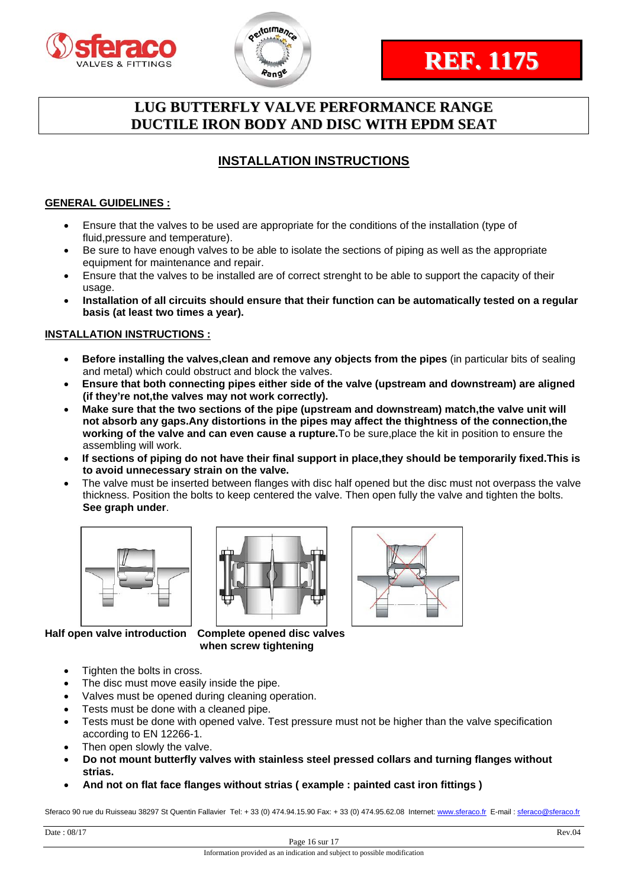



## **INSTALLATION INSTRUCTIONS**

## **GENERAL GUIDELINES :**

- Ensure that the valves to be used are appropriate for the conditions of the installation (type of fluid,pressure and temperature).
- Be sure to have enough valves to be able to isolate the sections of piping as well as the appropriate equipment for maintenance and repair.
- Ensure that the valves to be installed are of correct strenght to be able to support the capacity of their usage.
- **Installation of all circuits should ensure that their function can be automatically tested on a regular basis (at least two times a year).**

## **INSTALLATION INSTRUCTIONS :**

- **Before installing the valves,clean and remove any objects from the pipes** (in particular bits of sealing and metal) which could obstruct and block the valves.
- **Ensure that both connecting pipes either side of the valve (upstream and downstream) are aligned (if they're not,the valves may not work correctly).**
- **Make sure that the two sections of the pipe (upstream and downstream) match,the valve unit will not absorb any gaps.Any distortions in the pipes may affect the thightness of the connection,the working of the valve and can even cause a rupture.**To be sure,place the kit in position to ensure the assembling will work.
- **If sections of piping do not have their final support in place,they should be temporarily fixed.This is to avoid unnecessary strain on the valve.**
- The valve must be inserted between flanges with disc half opened but the disc must not overpass the valve thickness. Position the bolts to keep centered the valve. Then open fully the valve and tighten the bolts. **See graph under**.







**Half open valve introduction Complete opened disc valves when screw tightening** 

- Tighten the bolts in cross.
- The disc must move easily inside the pipe.
- Valves must be opened during cleaning operation.
- Tests must be done with a cleaned pipe.
- Tests must be done with opened valve. Test pressure must not be higher than the valve specification according to EN 12266-1.
- Then open slowly the valve.
- **Do not mount butterfly valves with stainless steel pressed collars and turning flanges without strias.**
- **And not on flat face flanges without strias ( example : painted cast iron fittings )**